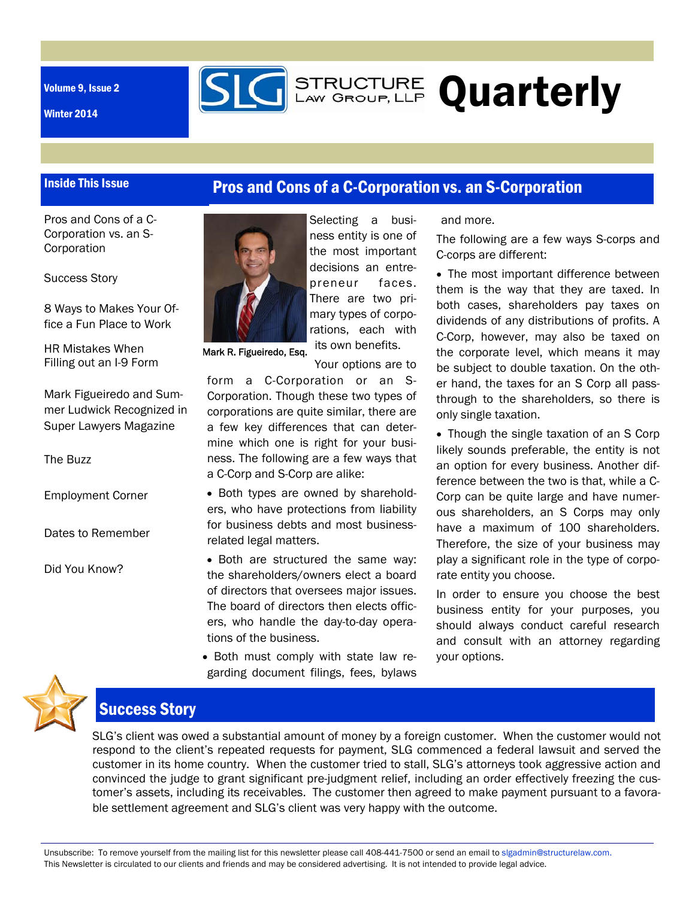Volume 9, Issue 2

Inside This Issue

Winter 2014

## Pros and Cons of a C-Corporation vs. an S-Corporation

**SIG** STRUCTURE Quarterly

Pros and Cons of a C-Corporation vs. an S-**Corporation** 

Success Story

8 Ways to Makes Your Office a Fun Place to Work

HR Mistakes When Filling out an I-9 Form

Mark Figueiredo and Summer Ludwick Recognized in Super Lawyers Magazine

The Buzz

Employment Corner

Dates to Remember

Did You Know?



Selecting a business entity is one of the most important decisions an entrepreneur faces. There are two primary types of corporations, each with its own benefits.

Mark R. Figueiredo, Esq.

Your options are to form a C-Corporation or an S-Corporation. Though these two types of corporations are quite similar, there are a few key differences that can determine which one is right for your business. The following are a few ways that a C-Corp and S-Corp are alike:

• Both types are owned by shareholders, who have protections from liability for business debts and most businessrelated legal matters.

• Both are structured the same way: the shareholders/owners elect a board of directors that oversees major issues. The board of directors then elects officers, who handle the day-to-day operations of the business.

• Both must comply with state law regarding document filings, fees, bylaws and more.

The following are a few ways S-corps and C-corps are different:

• The most important difference between them is the way that they are taxed. In both cases, shareholders pay taxes on dividends of any distributions of profits. A C-Corp, however, may also be taxed on the corporate level, which means it may be subject to double taxation. On the other hand, the taxes for an S Corp all passthrough to the shareholders, so there is only single taxation.

 Though the single taxation of an S Corp likely sounds preferable, the entity is not an option for every business. Another difference between the two is that, while a C-Corp can be quite large and have numerous shareholders, an S Corps may only have a maximum of 100 shareholders. Therefore, the size of your business may play a significant role in the type of corporate entity you choose.

In order to ensure you choose the best business entity for your purposes, you should always conduct careful research and consult with an attorney regarding your options.



### Success Story

SLG's client was owed a substantial amount of money by a foreign customer. When the customer would not respond to the client's repeated requests for payment, SLG commenced a federal lawsuit and served the customer in its home country. When the customer tried to stall, SLG's attorneys took aggressive action and convinced the judge to grant significant pre-judgment relief, including an order effectively freezing the customer's assets, including its receivables. The customer then agreed to make payment pursuant to a favorable settlement agreement and SLG's client was very happy with the outcome.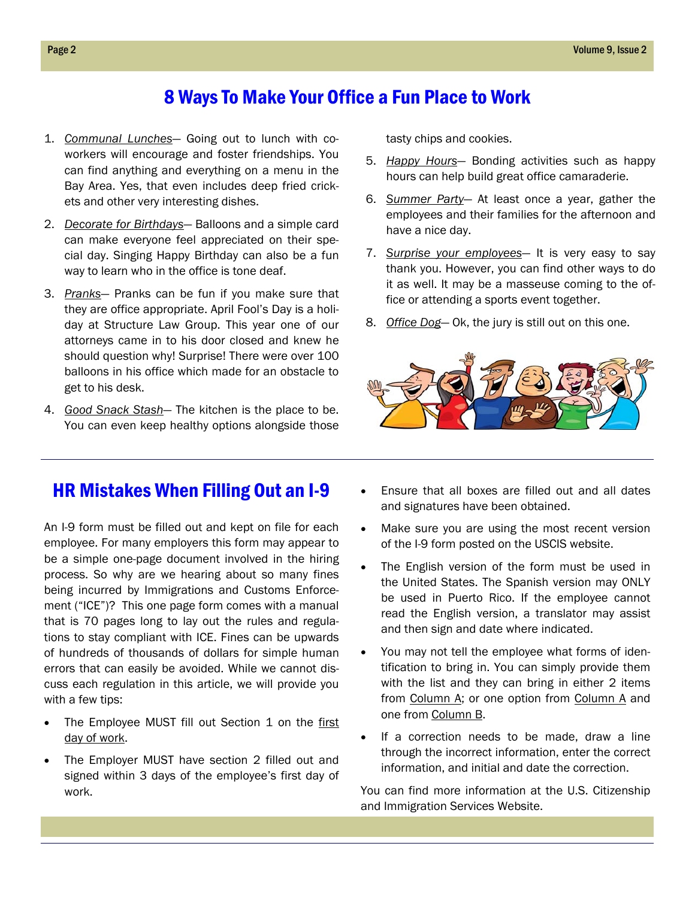## 8 Ways To Make Your Office a Fun Place to Work

- 1. *Communal Lunches* Going out to lunch with coworkers will encourage and foster friendships. You can find anything and everything on a menu in the Bay Area. Yes, that even includes deep fried crickets and other very interesting dishes.
- 2. *Decorate for Birthdays* Balloons and a simple card can make everyone feel appreciated on their special day. Singing Happy Birthday can also be a fun way to learn who in the office is tone deaf.
- 3. *Pranks* Pranks can be fun if you make sure that they are office appropriate. April Fool's Day is a holiday at Structure Law Group. This year one of our attorneys came in to his door closed and knew he should question why! Surprise! There were over 100 balloons in his office which made for an obstacle to get to his desk.
- 4. *Good Snack Stash* The kitchen is the place to be. You can even keep healthy options alongside those

tasty chips and cookies.

- 5. *Happy Hours* Bonding activities such as happy hours can help build great office camaraderie.
- 6. *Summer Party* At least once a year, gather the employees and their families for the afternoon and have a nice day.
- 7. *Surprise your employees* It is very easy to say thank you. However, you can find other ways to do it as well. It may be a masseuse coming to the office or attending a sports event together.
- 8. *Office Dog* Ok, the jury is still out on this one.



### HR Mistakes When Filling Out an I-9

An I-9 form must be filled out and kept on file for each employee. For many employers this form may appear to be a simple one-page document involved in the hiring process. So why are we hearing about so many fines being incurred by Immigrations and Customs Enforcement ("ICE")? This one page form comes with a manual that is 70 pages long to lay out the rules and regulations to stay compliant with ICE. Fines can be upwards of hundreds of thousands of dollars for simple human errors that can easily be avoided. While we cannot discuss each regulation in this article, we will provide you with a few tips:

- The Employee MUST fill out Section 1 on the first day of work.
- The Employer MUST have section 2 filled out and signed within 3 days of the employee's first day of work.
- Ensure that all boxes are filled out and all dates and signatures have been obtained.
- Make sure you are using the most recent version of the I-9 form posted on the USCIS website.
- The English version of the form must be used in the United States. The Spanish version may ONLY be used in Puerto Rico. If the employee cannot read the English version, a translator may assist and then sign and date where indicated.
- You may not tell the employee what forms of identification to bring in. You can simply provide them with the list and they can bring in either 2 items from Column A; or one option from Column A and one from Column B.
- If a correction needs to be made, draw a line through the incorrect information, enter the correct information, and initial and date the correction.

You can find more information at the U.S. Citizenship and Immigration Services Website.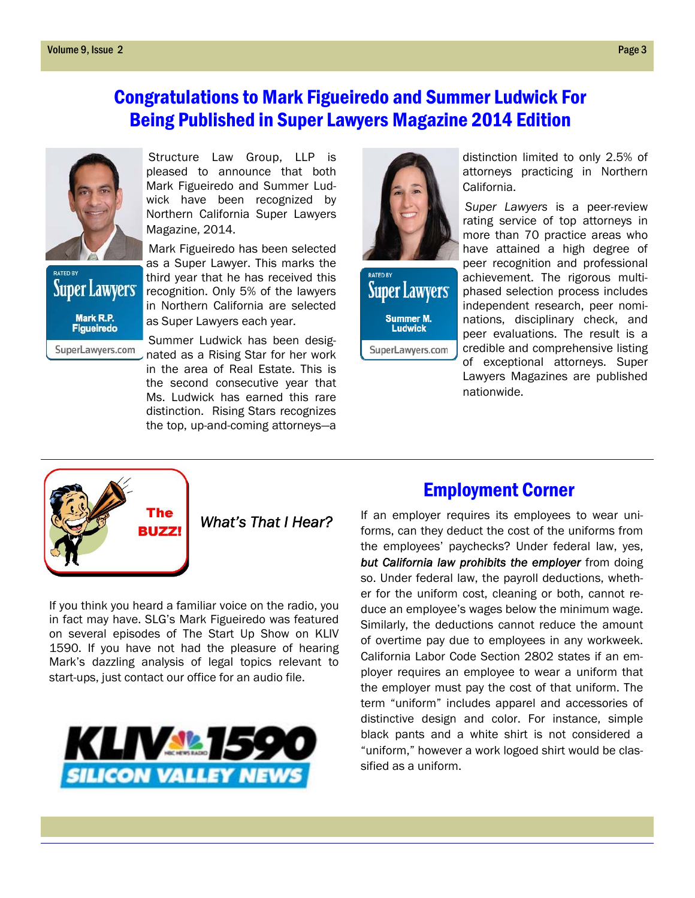# Congratulations to Mark Figueiredo and Summer Ludwick For Being Published in Super Lawyers Magazine 2014 Edition



**Super Lawyers** Mark R.P.<br>Figueiredo SuperLawyers.com

Structure Law Group, LLP is pleased to announce that both Mark Figueiredo and Summer Ludwick have been recognized by Northern California Super Lawyers Magazine, 2014.

Mark Figueiredo has been selected as a Super Lawyer. This marks the third year that he has received this recognition. Only 5% of the lawyers in Northern California are selected as Super Lawyers each year.

Summer Ludwick has been designated as a Rising Star for her work in the area of Real Estate. This is the second consecutive year that Ms. Ludwick has earned this rare distinction. Rising Stars recognizes the top, up-and-coming attorneys—a



**Super Lawyers** Summer M.<br>Ludwick SuperLawyers.com

*Super Lawyers* is a peer-review rating service of top attorneys in

California.

distinction limited to only 2.5% of attorneys practicing in Northern

more than 70 practice areas who have attained a high degree of peer recognition and professional achievement. The rigorous multiphased selection process includes independent research, peer nominations, disciplinary check, and peer evaluations. The result is a credible and comprehensive listing of exceptional attorneys. Super Lawyers Magazines are published

**UZZI** 

 *What's That I Hear?* 

If you think you heard a familiar voice on the radio, you in fact may have. SLG's Mark Figueiredo was featured on several episodes of The Start Up Show on KLIV 1590. If you have not had the pleasure of hearing Mark's dazzling analysis of legal topics relevant to start-ups, just contact our office for an audio file.



### Employment Corner

nationwide.

If an employer requires its employees to wear uniforms, can they deduct the cost of the uniforms from the employees' paychecks? Under federal law, yes, *but California law prohibits the employer* from doing so. Under federal law, the payroll deductions, whether for the uniform cost, cleaning or both, cannot reduce an employee's wages below the minimum wage. Similarly, the deductions cannot reduce the amount of overtime pay due to employees in any workweek. California Labor Code Section 2802 states if an employer requires an employee to wear a uniform that the employer must pay the cost of that uniform. The term "uniform" includes apparel and accessories of distinctive design and color. For instance, simple black pants and a white shirt is not considered a "uniform," however a work logoed shirt would be classified as a uniform.